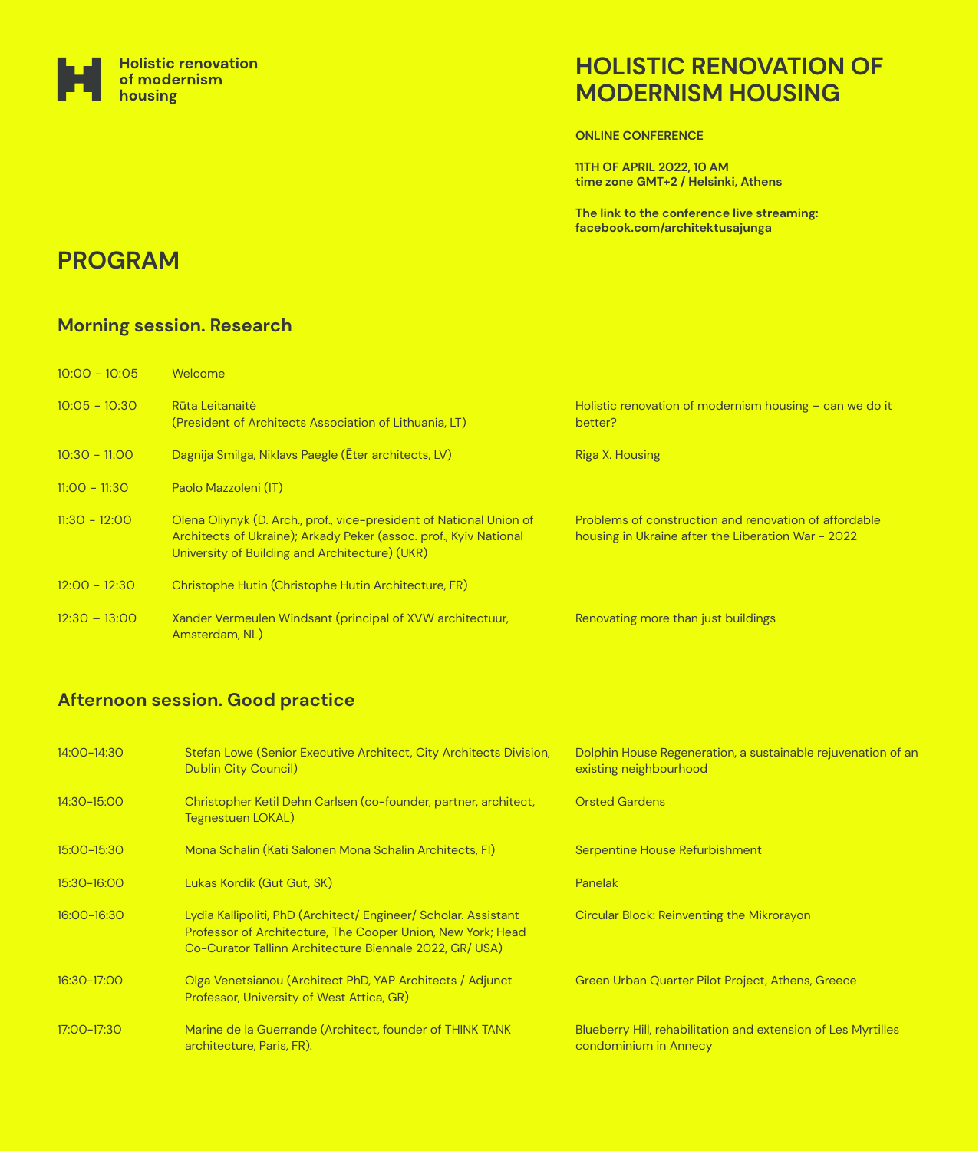**ONLINE CONFERENCE**

**11TH OF APRIL 2022, 10 AM time zone GMT+2 / Helsinki, Athens**

**The link to the conference live streaming: facebook.com/architektusajunga**



## **HOLISTIC RENOVATION OF MODERNISM HOUSING**

# **PROGRAM**

#### **Afternoon session. Good practice**

### **Morning session. Research**

| $10:00 - 10:05$ | Welcome                                                                                                                                                                                    |                                                                                                             |
|-----------------|--------------------------------------------------------------------------------------------------------------------------------------------------------------------------------------------|-------------------------------------------------------------------------------------------------------------|
| $10:05 - 10:30$ | Rūta Leitanaitė<br>(President of Architects Association of Lithuania, LT)                                                                                                                  | Holistic renovation of modernism housing $-$ can we do it<br>better?                                        |
| $10:30 - 11:00$ | Dagnija Smilga, Niklavs Paegle (Eter architects, LV)                                                                                                                                       | <b>Riga X. Housing</b>                                                                                      |
| $11:00 - 11:30$ | Paolo Mazzoleni (IT)                                                                                                                                                                       |                                                                                                             |
| $11:30 - 12:00$ | Olena Oliynyk (D. Arch., prof., vice-president of National Union of<br>Architects of Ukraine); Arkady Peker (assoc. prof., Kyiv National<br>University of Building and Architecture) (UKR) | Problems of construction and renovation of affordable<br>housing in Ukraine after the Liberation War - 2022 |
| $12:00 - 12:30$ | Christophe Hutin (Christophe Hutin Architecture, FR)                                                                                                                                       |                                                                                                             |
| $12:30 - 13:00$ | Xander Vermeulen Windsant (principal of XVW architectuur,<br>Amsterdam, NL)                                                                                                                | Renovating more than just buildings                                                                         |

16:30-17:00

17:00-17:30

| 14:00-14:30 | Stefan Lowe (Senior Executive Architect, City Architects Division,<br><b>Dublin City Council)</b> | Dolphin House Regeneration, a sustainable rejuvenation of an<br>existing neighbourhood |
|-------------|---------------------------------------------------------------------------------------------------|----------------------------------------------------------------------------------------|
| 14:30-15:00 | Christopher Ketil Dehn Carlsen (co-founder, partner, architect,<br>Tegnestuen LOKAL)              | <b>Orsted Gardens</b>                                                                  |
| 15:00-15:30 | Mona Schalin (Kati Salonen Mona Schalin Architects, FI)                                           | Serpentine House Refurbishment                                                         |
| 15:30-16:00 | Lukas Kordik (Gut Gut, SK)                                                                        | <b>Panelak</b>                                                                         |
| 16:00-16:30 | Lydia Kallipoliti, PhD (Architect/ Engineer/ Scholar. Assistant                                   | Circular Block: Reinventing the Mikrorayon                                             |

Professor of Architecture, The Cooper Union, New York; Head Co-Curator Tallinn Architecture Biennale 2022, GR/ USA)

Olga Venetsianou (Architect PhD, YAP Architects / Adjunct Professor, University of West Attica, GR)

Marine de la Guerrande (Architect, founder of THINK TANK architecture, Paris, FR).

Green Urban Quarter Pilot Project, Athens, Greece

Blueberry Hill, rehabilitation and extension of Les Myrtilles condominium in Annecy